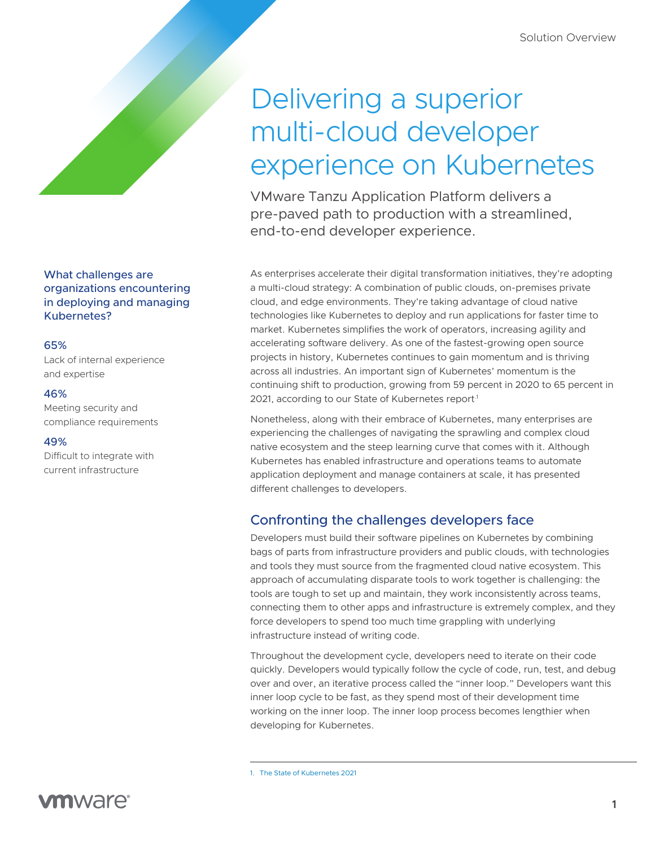# Delivering a superior multi-cloud developer experience on Kubernetes

VMware Tanzu Application Platform delivers a pre-paved path to production with a streamlined, end-to-end developer experience.

As enterprises accelerate their digital transformation initiatives, they're adopting a multi-cloud strategy: A combination of public clouds, on-premises private cloud, and edge environments. They're taking advantage of cloud native technologies like Kubernetes to deploy and run applications for faster time to market. Kubernetes simplifies the work of operators, increasing agility and accelerating software delivery. As one of the fastest-growing open source projects in history, Kubernetes continues to gain momentum and is thriving across all industries. An important sign of Kubernetes' momentum is the continuing shift to production, growing from 59 percent in 2020 to 65 percent in 2021, according to our State of Kubernetes report<sup>1</sup>

Nonetheless, along with their embrace of Kubernetes, many enterprises are experiencing the challenges of navigating the sprawling and complex cloud native ecosystem and the steep learning curve that comes with it. Although Kubernetes has enabled infrastructure and operations teams to automate application deployment and manage containers at scale, it has presented different challenges to developers.

### Confronting the challenges developers face

Developers must build their software pipelines on Kubernetes by combining bags of parts from infrastructure providers and public clouds, with technologies and tools they must source from the fragmented cloud native ecosystem. This approach of accumulating disparate tools to work together is challenging: the tools are tough to set up and maintain, they work inconsistently across teams, connecting them to other apps and infrastructure is extremely complex, and they force developers to spend too much time grappling with underlying infrastructure instead of writing code.

Throughout the development cycle, developers need to iterate on their code quickly. Developers would typically follow the cycle of code, run, test, and debug over and over, an iterative process called the "inner loop." Developers want this inner loop cycle to be fast, as they spend most of their development time working on the inner loop. The inner loop process becomes lengthier when developing for Kubernetes.

### What challenges are organizations encountering in deploying and managing Kubernetes?

### 65%

Lack of internal experience and expertise

### 46%

Meeting security and compliance requirements

### 49%

Difficult to integrate with current infrastructure

<sup>1.</sup> [The State of Kubernetes 2021](https://tanzu.vmware.com/content/ebooks/the-state-of-kubernetes-2021)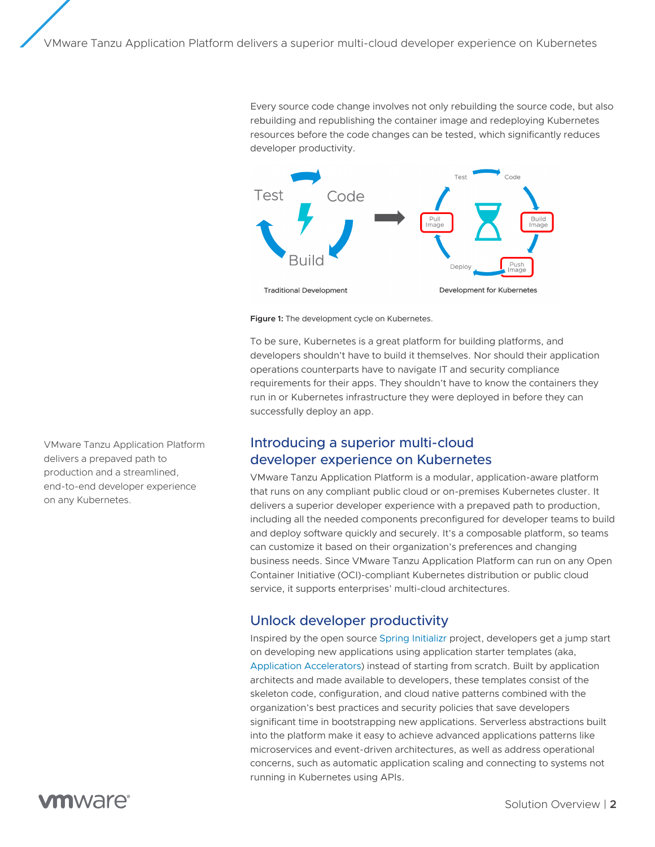Every source code change involves not only rebuilding the source code, but also rebuilding and republishing the container image and redeploying Kubernetes resources before the code changes can be tested, which significantly reduces developer productivity.



**Figure 1:** The development cycle on Kubernetes.

To be sure, Kubernetes is a great platform for building platforms, and developers shouldn't have to build it themselves. Nor should their application operations counterparts have to navigate IT and security compliance requirements for their apps. They shouldn't have to know the containers they run in or Kubernetes infrastructure they were deployed in before they can successfully deploy an app.

### Introducing a superior multi-cloud developer experience on Kubernetes

VMware Tanzu Application Platform is a modular, application-aware platform that runs on any compliant public cloud or on-premises Kubernetes cluster. It delivers a superior developer experience with a prepaved path to production, including all the needed components preconfigured for developer teams to build and deploy software quickly and securely. It's a composable platform, so teams can customize it based on their organization's preferences and changing business needs. Since VMware Tanzu Application Platform can run on any Open Container Initiative (OCI)-compliant Kubernetes distribution or public cloud service, it supports enterprises' multi-cloud architectures.

### Unlock developer productivity

Inspired by the open source [Spring Initializr](https://start.spring.io/) project, developers get a jump start on developing new applications using application starter templates (aka, [Application Accelerators\)](https://docs.vmware.com/en/Application-Accelerator-for-VMware-Tanzu/index.html) instead of starting from scratch. Built by application architects and made available to developers, these templates consist of the skeleton code, configuration, and cloud native patterns combined with the organization's best practices and security policies that save developers significant time in bootstrapping new applications. Serverless abstractions built into the platform make it easy to achieve advanced applications patterns like microservices and event-driven architectures, as well as address operational concerns, such as automatic application scaling and connecting to systems not running in Kubernetes using APIs.

VMware Tanzu Application Platform delivers a prepaved path to production and a streamlined, end-to-end developer experience on any Kubernetes.

## mware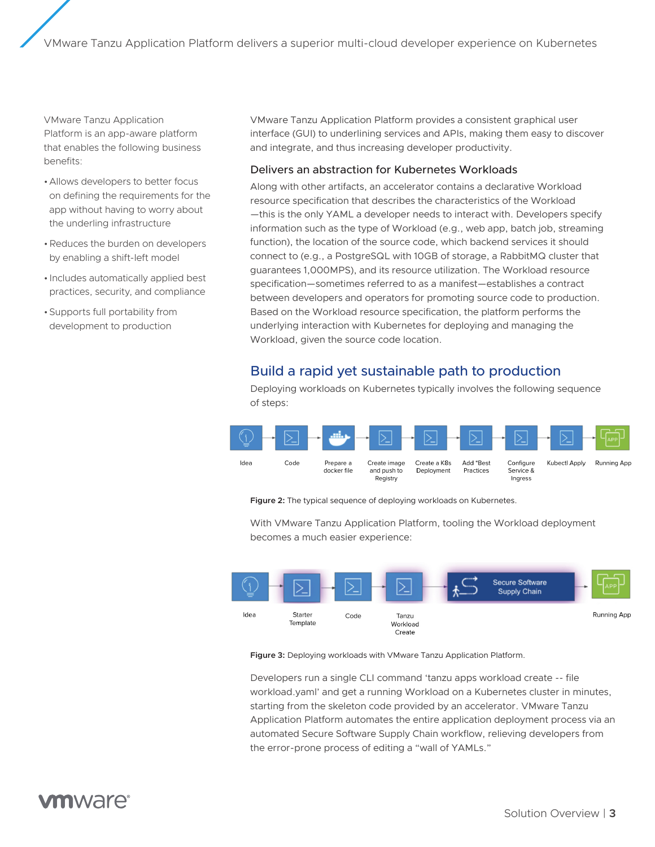VMware Tanzu Application Platform is an app-aware platform that enables the following business benefits:

- •Allows developers to better focus on defining the requirements for the app without having to worry about the underling infrastructure
- •Reduces the burden on developers by enabling a shift-left model
- Includes automatically applied best practices, security, and compliance
- •Supports full portability from development to production

VMware Tanzu Application Platform provides a consistent graphical user interface (GUI) to underlining services and APIs, making them easy to discover and integrate, and thus increasing developer productivity.

### Delivers an abstraction for Kubernetes Workloads

Along with other artifacts, an accelerator contains a declarative Workload resource specification that describes the characteristics of the Workload —this is the only YAML a developer needs to interact with. Developers specify information such as the type of Workload (e.g., web app, batch job, streaming function), the location of the source code, which backend services it should connect to (e.g., a PostgreSQL with 10GB of storage, a RabbitMQ cluster that guarantees 1,000MPS), and its resource utilization. The Workload resource specification—sometimes referred to as a manifest—establishes a contract between developers and operators for promoting source code to production. Based on the Workload resource specification, the platform performs the underlying interaction with Kubernetes for deploying and managing the Workload, given the source code location.

### Build a rapid yet sustainable path to production

Deploying workloads on Kubernetes typically involves the following sequence of steps:



**Figure 2:** The typical sequence of deploying workloads on Kubernetes.

With VMware Tanzu Application Platform, tooling the Workload deployment becomes a much easier experience:



**Figure 3:** Deploying workloads with VMware Tanzu Application Platform.

Developers run a single CLI command 'tanzu apps workload create -- file workload.yaml' and get a running Workload on a Kubernetes cluster in minutes, starting from the skeleton code provided by an accelerator. VMware Tanzu Application Platform automates the entire application deployment process via an automated Secure Software Supply Chain workflow, relieving developers from the error-prone process of editing a "wall of YAMLs."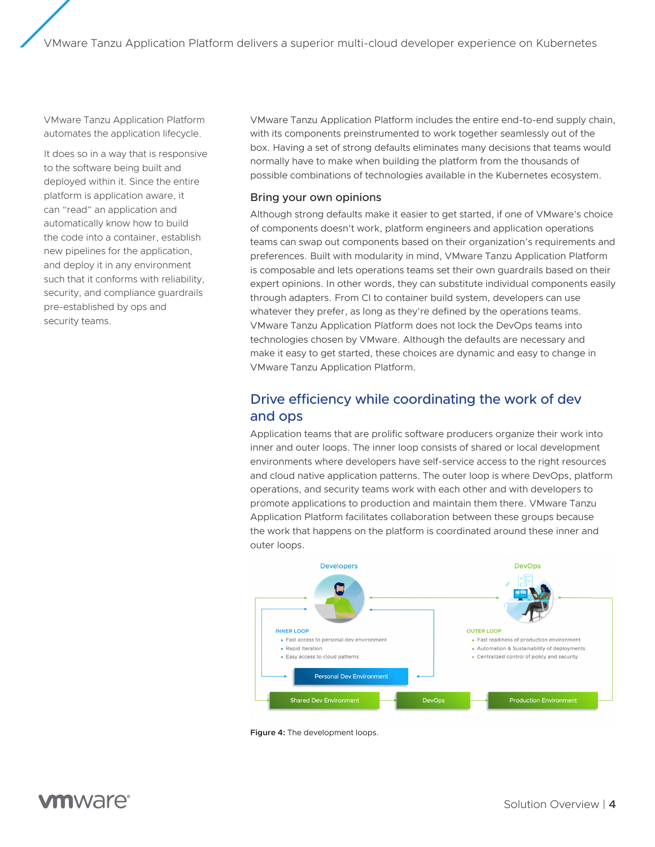VMware Tanzu Application Platform automates the application lifecycle.

It does so in a way that is responsive to the software being built and deployed within it. Since the entire platform is application aware, it can "read" an application and automatically know how to build the code into a container, establish new pipelines for the application, and deploy it in any environment such that it conforms with reliability, security, and compliance guardrails pre-established by ops and security teams.

VMware Tanzu Application Platform includes the entire end-to-end supply chain, with its components preinstrumented to work together seamlessly out of the box. Having a set of strong defaults eliminates many decisions that teams would normally have to make when building the platform from the thousands of possible combinations of technologies available in the Kubernetes ecosystem.

### Bring your own opinions

Although strong defaults make it easier to get started, if one of VMware's choice of components doesn't work, platform engineers and application operations teams can swap out components based on their organization's requirements and preferences. Built with modularity in mind, VMware Tanzu Application Platform is composable and lets operations teams set their own guardrails based on their expert opinions. In other words, they can substitute individual components easily through adapters. From CI to container build system, developers can use whatever they prefer, as long as they're defined by the operations teams. VMware Tanzu Application Platform does not lock the DevOps teams into technologies chosen by VMware. Although the defaults are necessary and make it easy to get started, these choices are dynamic and easy to change in VMware Tanzu Application Platform.

### Drive efficiency while coordinating the work of dev and ops

Application teams that are prolific software producers organize their work into inner and outer loops. The inner loop consists of shared or local development environments where developers have self-service access to the right resources and cloud native application patterns. The outer loop is where DevOps, platform operations, and security teams work with each other and with developers to promote applications to production and maintain them there. VMware Tanzu Application Platform facilitates collaboration between these groups because the work that happens on the platform is coordinated around these inner and outer loops.



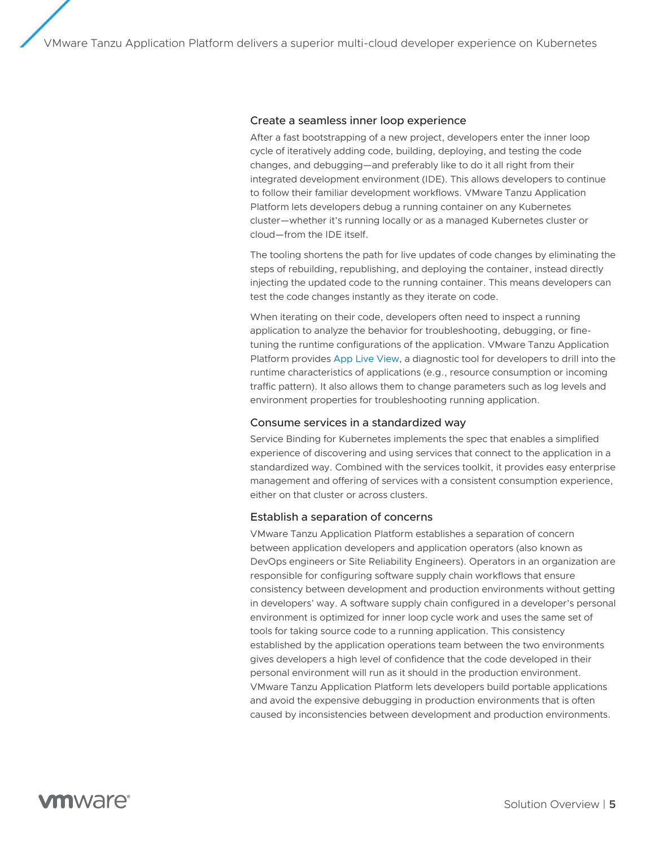#### Create a seamless inner loop experience

After a fast bootstrapping of a new project, developers enter the inner loop cycle of iteratively adding code, building, deploying, and testing the code changes, and debugging—and preferably like to do it all right from their integrated development environment (IDE). This allows developers to continue to follow their familiar development workflows. VMware Tanzu Application Platform lets developers debug a running container on any Kubernetes cluster—whether it's running locally or as a managed Kubernetes cluster or cloud—from the IDE itself.

The tooling shortens the path for live updates of code changes by eliminating the steps of rebuilding, republishing, and deploying the container, instead directly injecting the updated code to the running container. This means developers can test the code changes instantly as they iterate on code.

When iterating on their code, developers often need to inspect a running application to analyze the behavior for troubleshooting, debugging, or finetuning the runtime configurations of the application. VMware Tanzu Application Platform provides [App Live View](https://docs.vmware.com/en/Application-Live-View-for-VMware-Tanzu/0.1/docs/GUID-index.html), a diagnostic tool for developers to drill into the runtime characteristics of applications (e.g., resource consumption or incoming traffic pattern). It also allows them to change parameters such as log levels and environment properties for troubleshooting running application.

#### Consume services in a standardized way

Service Binding for Kubernetes implements the spec that enables a simplified experience of discovering and using services that connect to the application in a standardized way. Combined with the services toolkit, it provides easy enterprise management and offering of services with a consistent consumption experience, either on that cluster or across clusters.

#### Establish a separation of concerns

VMware Tanzu Application Platform establishes a separation of concern between application developers and application operators (also known as DevOps engineers or Site Reliability Engineers). Operators in an organization are responsible for configuring software supply chain workflows that ensure consistency between development and production environments without getting in developers' way. A software supply chain configured in a developer's personal environment is optimized for inner loop cycle work and uses the same set of tools for taking source code to a running application. This consistency established by the application operations team between the two environments gives developers a high level of confidence that the code developed in their personal environment will run as it should in the production environment. VMware Tanzu Application Platform lets developers build portable applications and avoid the expensive debugging in production environments that is often caused by inconsistencies between development and production environments.